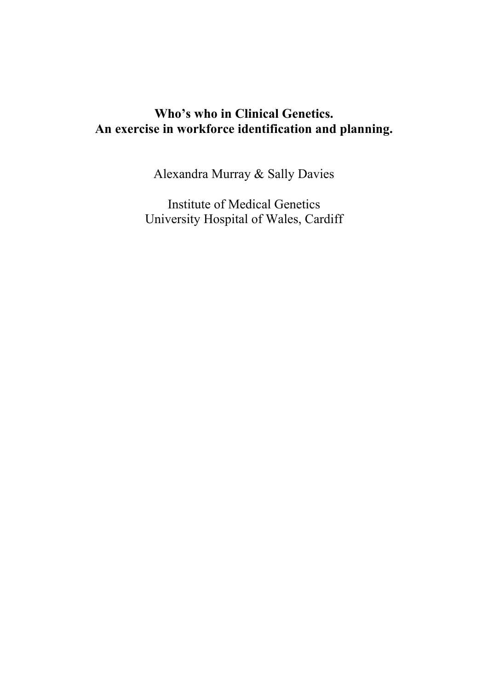# **Who's who in Clinical Genetics. An exercise in workforce identification and planning.**

Alexandra Murray & Sally Davies

Institute of Medical Genetics University Hospital of Wales, Cardiff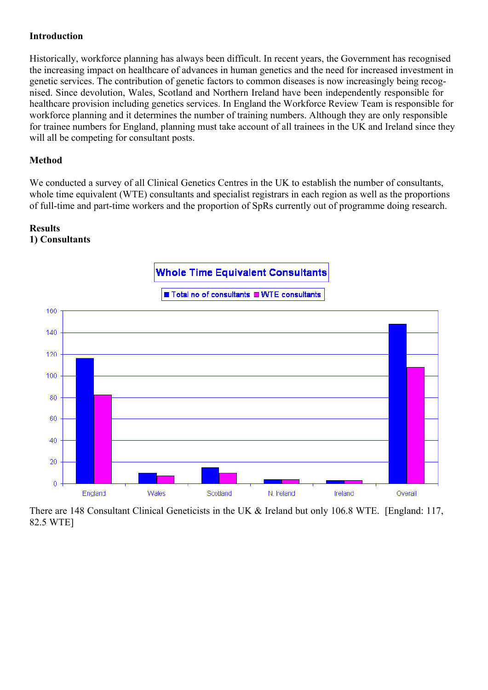## **Introduction**

Historically, workforce planning has always been difficult. In recent years, the Government has recognised the increasing impact on healthcare of advances in human genetics and the need for increased investment in genetic services. The contribution of genetic factors to common diseases is now increasingly being recog nised. Since devolution, Wales, Scotland and Northern Ireland have been independently responsible for healthcare provision including genetics services. In England the Workforce Review Team is responsible for workforce planning and it determines the number of training numbers. Although they are only responsible for trainee numbers for England, planning must take account of all trainees in the UK and Ireland since they will all be competing for consultant posts.

# **Method**

We conducted a survey of all Clinical Genetics Centres in the UK to establish the number of consultants, whole time equivalent (WTE) consultants and specialist registrars in each region as well as the proportions of full-time and part-time workers and the proportion of SpRs currently out of programme doing research.

#### **Results 1) Consultants**



There are 148 Consultant Clinical Geneticists in the UK & Ireland but only 106.8 WTE. [England: 117, 82.5 WTE]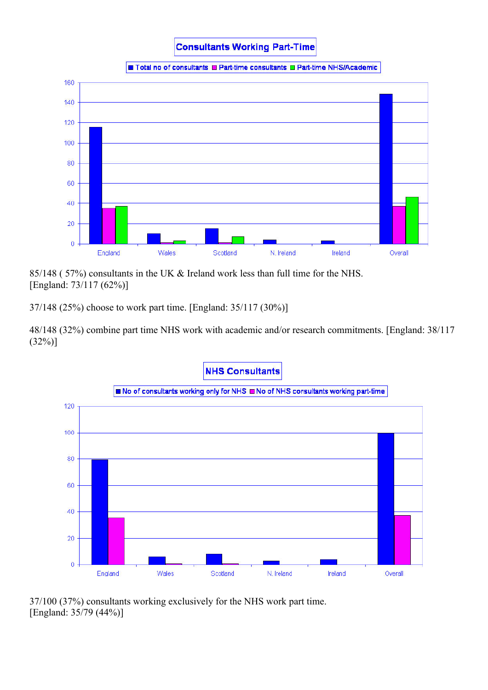**Consultants Working Part-Time** 

Total no of consultants T Part-time consultants T Part-time NHS/Academic



85/148 ( 57%) consultants in the UK & Ireland work less than full time for the NHS. [England: 73/117 (62%)]

37/148 (25%) choose to work part time. [England: 35/117 (30%)]

48/148 (32%) combine part time NHS work with academic and/or research commitments. [England: 38/117  $(32%)$ ]



37/100 (37%) consultants working exclusively for the NHS work part time. [England: 35/79 (44%)]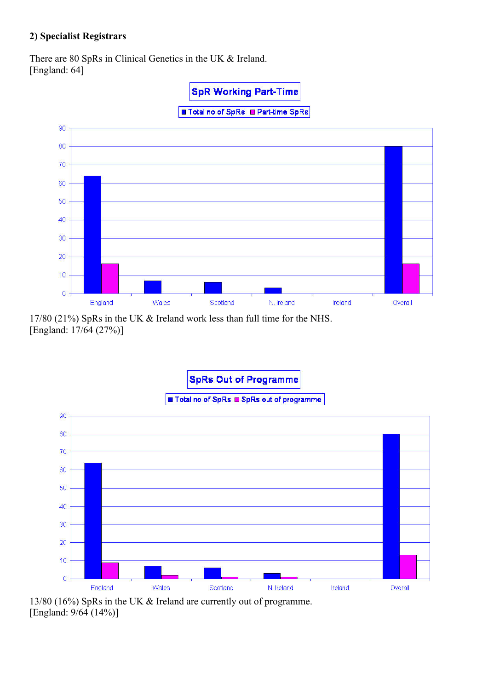# **2) Specialist Registrars**

There are 80 SpRs in Clinical Genetics in the UK & Ireland. [England: 64]







13/80 (16%) SpRs in the UK & Ireland are currently out of programme. [England: 9/64 (14%)]